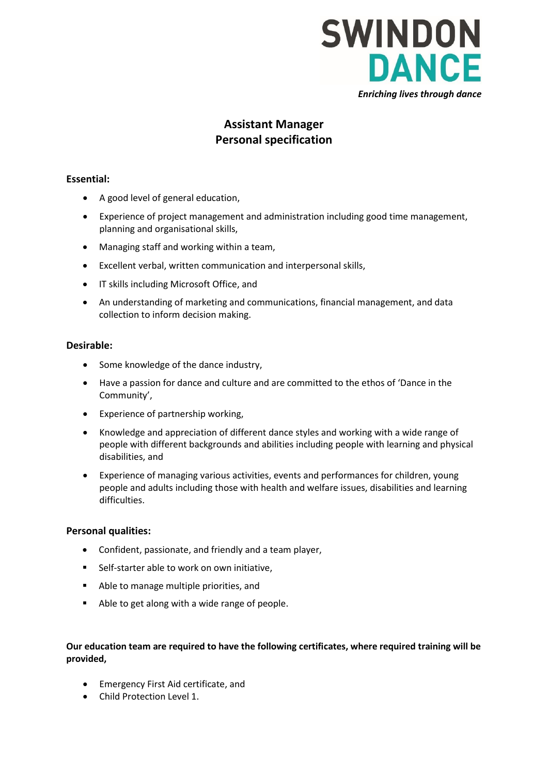

# **Assistant Manager Personal specification**

# **Essential:**

- A good level of general education,
- Experience of project management and administration including good time management, planning and organisational skills,
- Managing staff and working within a team,
- Excellent verbal, written communication and interpersonal skills,
- IT skills including Microsoft Office, and
- An understanding of marketing and communications, financial management, and data collection to inform decision making.

# **Desirable:**

- Some knowledge of the dance industry,
- Have a passion for dance and culture and are committed to the ethos of 'Dance in the Community',
- Experience of partnership working,
- Knowledge and appreciation of different dance styles and working with a wide range of people with different backgrounds and abilities including people with learning and physical disabilities, and
- Experience of managing various activities, events and performances for children, young people and adults including those with health and welfare issues, disabilities and learning difficulties.

### **Personal qualities:**

- Confident, passionate, and friendly and a team player,
- Self-starter able to work on own initiative,
- Able to manage multiple priorities, and
- Able to get along with a wide range of people.

### **Our education team are required to have the following certificates, where required training will be provided,**

- Emergency First Aid certificate, and
- Child Protection Level 1.